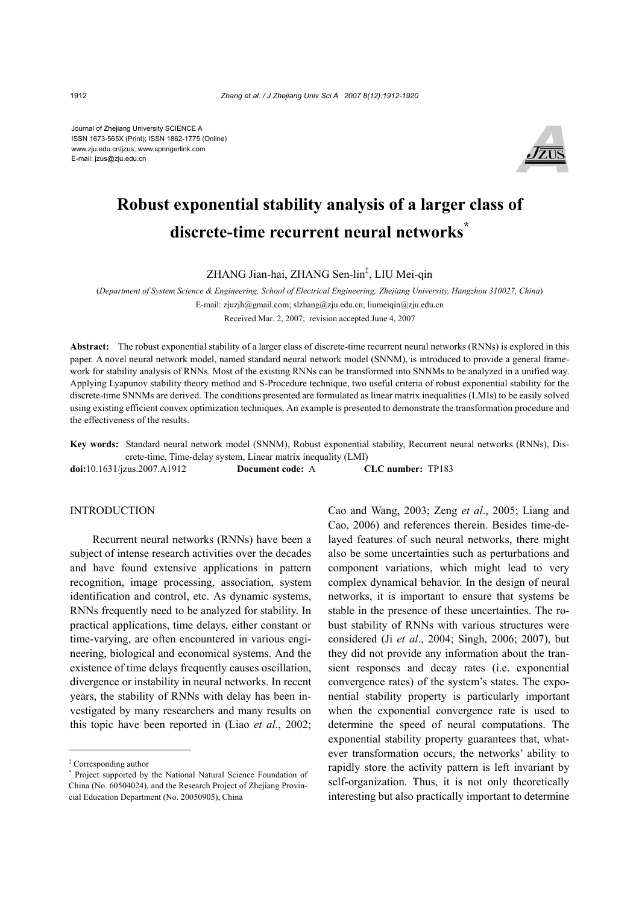Journal of Zhejiang University SCIENCE A ISSN 1673-565X (Print); ISSN 1862-1775 (Online) www.zju.edu.cn/jzus; www.springerlink.com E-mail: jzus@zju.edu.cn



# **Robust exponential stability analysis of a larger class of discrete-time recurrent neural networks\***

ZHANG Jian-hai, ZHANG Sen-lin‡ , LIU Mei-qin

(*Department of System Science & Engineering, School of Electrical Engineering, Zhejiang University, Hangzhou 310027, China*)

E-mail: zjuzjh@gmail.com; slzhang@zju.edu.cn; liumeiqin@zju.edu.cn

Received Mar. 2, 2007; revision accepted June 4, 2007

**Abstract:** The robust exponential stability of a larger class of discrete-time recurrent neural networks (RNNs) is explored in this paper. A novel neural network model, named standard neural network model (SNNM), is introduced to provide a general framework for stability analysis of RNNs. Most of the existing RNNs can be transformed into SNNMs to be analyzed in a unified way. Applying Lyapunov stability theory method and S-Procedure technique, two useful criteria of robust exponential stability for the discrete-time SNNMs are derived. The conditions presented are formulated as linear matrix inequalities (LMIs) to be easily solved using existing efficient convex optimization techniques. An example is presented to demonstrate the transformation procedure and the effectiveness of the results.

**Key words:** Standard neural network model (SNNM), Robust exponential stability, Recurrent neural networks (RNNs), Discrete-time, Time-delay system, Linear matrix inequality (LMI)

**doi:**10.1631/jzus.2007.A1912 **Document code:** A **CLC number:** TP183

## **INTRODUCTION**

Recurrent neural networks (RNNs) have been a subject of intense research activities over the decades and have found extensive applications in pattern recognition, image processing, association, system identification and control, etc. As dynamic systems, RNNs frequently need to be analyzed for stability. In practical applications, time delays, either constant or time-varying, are often encountered in various engineering, biological and economical systems. And the existence of time delays frequently causes oscillation, divergence or instability in neural networks. In recent years, the stability of RNNs with delay has been investigated by many researchers and many results on this topic have been reported in (Liao *et al*., 2002; Cao and Wang, 2003; Zeng *et al*., 2005; Liang and Cao, 2006) and references therein. Besides time-delayed features of such neural networks, there might also be some uncertainties such as perturbations and component variations, which might lead to very complex dynamical behavior. In the design of neural networks, it is important to ensure that systems be stable in the presence of these uncertainties. The robust stability of RNNs with various structures were considered (Ji *et al*., 2004; Singh, 2006; 2007), but they did not provide any information about the transient responses and decay rates (i.e. exponential convergence rates) of the system's states. The exponential stability property is particularly important when the exponential convergence rate is used to determine the speed of neural computations. The exponential stability property guarantees that, whatever transformation occurs, the networks' ability to rapidly store the activity pattern is left invariant by self-organization. Thus, it is not only theoretically interesting but also practically important to determine

<sup>‡</sup> Corresponding author

<sup>\*</sup> Project supported by the National Natural Science Foundation of China (No. 60504024), and the Research Project of Zhejiang Provincial Education Department (No. 20050905), China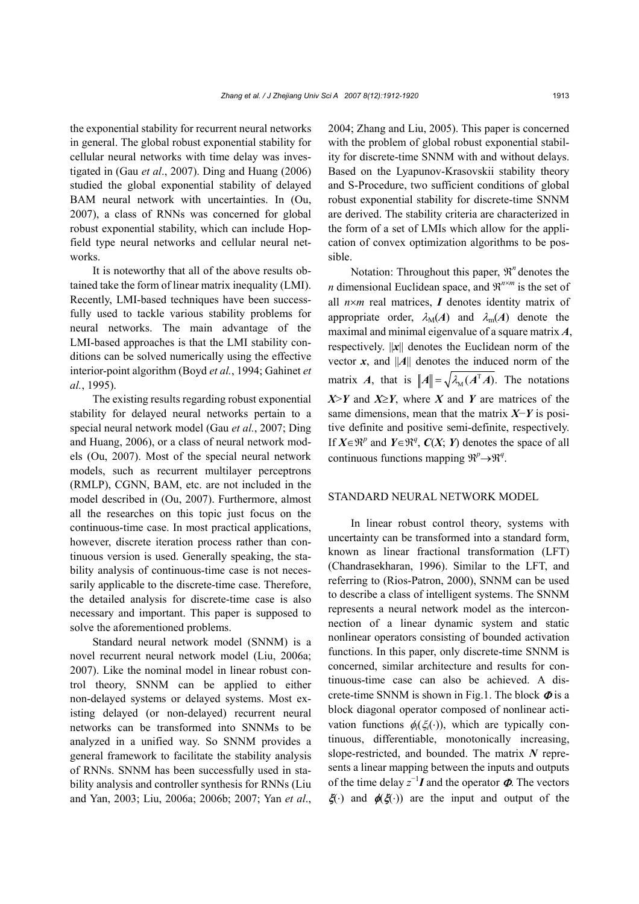the exponential stability for recurrent neural networks in general. The global robust exponential stability for cellular neural networks with time delay was investigated in (Gau *et al*., 2007). Ding and Huang (2006) studied the global exponential stability of delayed BAM neural network with uncertainties. In (Ou, 2007), a class of RNNs was concerned for global robust exponential stability, which can include Hopfield type neural networks and cellular neural networks.

It is noteworthy that all of the above results obtained take the form of linear matrix inequality (LMI). Recently, LMI-based techniques have been successfully used to tackle various stability problems for neural networks. The main advantage of the LMI-based approaches is that the LMI stability conditions can be solved numerically using the effective interior-point algorithm (Boyd *et al.*, 1994; Gahinet *et al.*, 1995).

The existing results regarding robust exponential stability for delayed neural networks pertain to a special neural network model (Gau *et al.*, 2007; Ding and Huang, 2006), or a class of neural network models (Ou, 2007). Most of the special neural network models, such as recurrent multilayer perceptrons (RMLP), CGNN, BAM, etc. are not included in the model described in (Ou, 2007). Furthermore, almost all the researches on this topic just focus on the continuous-time case. In most practical applications, however, discrete iteration process rather than continuous version is used. Generally speaking, the stability analysis of continuous-time case is not necessarily applicable to the discrete-time case. Therefore, the detailed analysis for discrete-time case is also necessary and important. This paper is supposed to solve the aforementioned problems.

Standard neural network model (SNNM) is a novel recurrent neural network model (Liu, 2006a; 2007). Like the nominal model in linear robust control theory, SNNM can be applied to either non-delayed systems or delayed systems. Most existing delayed (or non-delayed) recurrent neural networks can be transformed into SNNMs to be analyzed in a unified way. So SNNM provides a general framework to facilitate the stability analysis of RNNs. SNNM has been successfully used in stability analysis and controller synthesis for RNNs (Liu and Yan, 2003; Liu, 2006a; 2006b; 2007; Yan *et al*., 2004; Zhang and Liu, 2005). This paper is concerned with the problem of global robust exponential stability for discrete-time SNNM with and without delays. Based on the Lyapunov-Krasovskii stability theory and S-Procedure, two sufficient conditions of global robust exponential stability for discrete-time SNNM are derived. The stability criteria are characterized in the form of a set of LMIs which allow for the application of convex optimization algorithms to be possible.

Notation: Throughout this paper,  $\mathbb{R}^n$  denotes the *n* dimensional Euclidean space, and  $\mathbb{R}^{n \times m}$  is the set of all *n*×*m* real matrices, *I* denotes identity matrix of appropriate order,  $\lambda_M(A)$  and  $\lambda_m(A)$  denote the maximal and minimal eigenvalue of a square matrix *A*, respectively. ||*x*|| denotes the Euclidean norm of the vector  $x$ , and ||A|| denotes the induced norm of the matrix *A*, that is  $||A|| = \sqrt{\lambda_M (A^T A)}$ . The notations *X*>*Y* and *X*≥*Y*, where *X* and *Y* are matrices of the same dimensions, mean that the matrix *X*−*Y* is positive definite and positive semi-definite, respectively. If  $X \in \mathbb{R}^p$  and  $Y \in \mathbb{R}^q$ ,  $C(X; Y)$  denotes the space of all continuous functions mapping  $\mathbb{R}^p \rightarrow \mathbb{R}^q$ .

#### STANDARD NEURAL NETWORK MODEL

In linear robust control theory, systems with uncertainty can be transformed into a standard form, known as linear fractional transformation (LFT) (Chandrasekharan, 1996). Similar to the LFT, and referring to (Rios-Patron, 2000), SNNM can be used to describe a class of intelligent systems. The SNNM represents a neural network model as the interconnection of a linear dynamic system and static nonlinear operators consisting of bounded activation functions. In this paper, only discrete-time SNNM is concerned, similar architecture and results for continuous-time case can also be achieved. A discrete-time SNNM is shown in Fig.1. The block  $\Phi$  is a block diagonal operator composed of nonlinear activation functions  $\phi_i(\xi_i(\cdot))$ , which are typically continuous, differentiable, monotonically increasing, slope-restricted, and bounded. The matrix *N* represents a linear mapping between the inputs and outputs of the time delay  $z^{-1}I$  and the operator  $\Phi$ . The vectors  $\xi(\cdot)$  and  $\phi(\xi(\cdot))$  are the input and output of the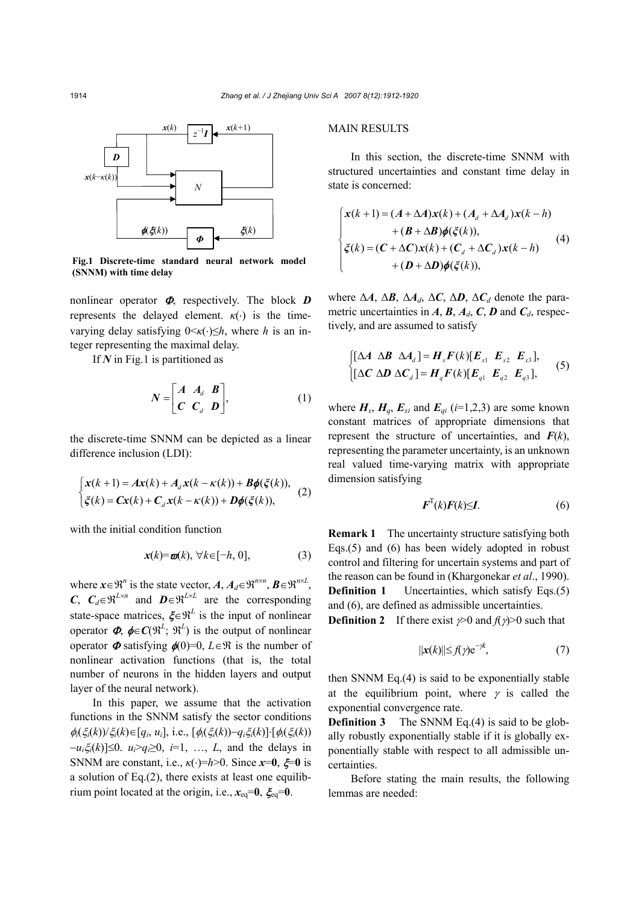

**Fig.1 Discrete-time standard neural network model (SNNM) with time delay** 

nonlinear operator <sup>Φ</sup>, respectively. The block *D*  represents the delayed element.  $\kappa(\cdot)$  is the timevarying delay satisfying 0<*κ*(⋅)≤*h*, where *h* is an integer representing the maximal delay.

If *N* in Fig.1 is partitioned as

$$
N = \begin{bmatrix} A & A_d & B \\ C & C_d & D \end{bmatrix}, \tag{1}
$$

the discrete-time SNNM can be depicted as a linear difference inclusion (LDI):

$$
\begin{cases} x(k+1) = Ax(k) + A_d x(k - \kappa(k)) + B\phi(\xi(k)), \\ \xi(k) = Cx(k) + C_d x(k - \kappa(k)) + D\phi(\xi(k)), \end{cases}
$$
 (2)

with the initial condition function

$$
\mathbf{x}(k) = \mathbf{\varpi}(k), \ \forall k \in [-h, 0], \tag{3}
$$

where  $\mathbf{x} \in \mathbb{R}^n$  is the state vector,  $A, A_d \in \mathbb{R}^{n \times n}, \mathbf{B} \in \mathbb{R}^{n \times L}$ , *C*,  $C_d \in \mathbb{R}^{L \times n}$  and  $D \in \mathbb{R}^{L \times L}$  are the corresponding state-space matrices,  $\xi \in \mathbb{R}^L$  is the input of nonlinear operator  $\boldsymbol{\Phi}$ ,  $\boldsymbol{\phi} \in \mathcal{C}(\mathbb{R}^L; \mathbb{R}^L)$  is the output of nonlinear operator  $\Phi$  satisfying  $\phi(0)=0$ ,  $L \in \mathbb{R}$  is the number of nonlinear activation functions (that is, the total number of neurons in the hidden layers and output layer of the neural network).

In this paper, we assume that the activation functions in the SNNM satisfy the sector conditions  $\phi_i(\xi_i(k))/\xi_i(k) \in [q_i, u_i],$  i.e.,  $[\phi_i(\xi_i(k)) - q_i\xi_i(k)] \cdot [\phi_i(\xi_i(k))$ −*ui*ξ*i*(*k*)]≤0. *ui*>*qi*≥0, *i*=1, …, *L*, and the delays in SNNM are constant, i.e.,  $\kappa(\cdot)=h>0$ . Since  $x=0$ ,  $\xi=0$  is a solution of Eq.(2), there exists at least one equilibrium point located at the origin, i.e.,  $x_{eq}=0$ ,  $\xi_{eq}=0$ .

## MAIN RESULTS

In this section, the discrete-time SNNM with structured uncertainties and constant time delay in state is concerned:

$$
\begin{cases}\n\mathbf{x}(k+1) = (\mathbf{A} + \Delta \mathbf{A})\mathbf{x}(k) + (\mathbf{A}_d + \Delta \mathbf{A}_d)\mathbf{x}(k-h) \\
+ (\mathbf{B} + \Delta \mathbf{B})\phi(\xi(k)), \\
\xi(k) = (\mathbf{C} + \Delta \mathbf{C})\mathbf{x}(k) + (\mathbf{C}_d + \Delta \mathbf{C}_d)\mathbf{x}(k-h) \\
+ (\mathbf{D} + \Delta \mathbf{D})\phi(\xi(k)),\n\end{cases} (4)
$$

where ∆*A*, ∆*B*, ∆*Ad*, ∆*C*, ∆*D*, ∆*Cd* denote the parametric uncertainties in  $A$ ,  $B$ ,  $A$ <sub>*d*</sub>,  $C$ ,  $D$  and  $C$ <sub>*d*</sub>, respectively, and are assumed to satisfy

$$
\begin{cases}\n[\Delta A \ \Delta B \ \Delta A_d] = H_x F(k) [E_{x1} \ E_{x2} \ E_{x3}], \\
[\Delta C \ \Delta D \ \Delta C_d] = H_q F(k) [E_{q1} \ E_{q2} \ E_{q3}],\n\end{cases} (5)
$$

where  $H_x$ ,  $H_a$ ,  $E_{xi}$  and  $E_{qi}$  ( $i=1,2,3$ ) are some known constant matrices of appropriate dimensions that represent the structure of uncertainties, and *F*(*k*), representing the parameter uncertainty, is an unknown real valued time-varying matrix with appropriate dimension satisfying

$$
\boldsymbol{F}^{\mathrm{T}}(k)\boldsymbol{F}(k)\leq\boldsymbol{I}.\tag{6}
$$

**Remark 1** The uncertainty structure satisfying both Eqs.(5) and (6) has been widely adopted in robust control and filtering for uncertain systems and part of the reason can be found in (Khargonekar *et al*., 1990). **Definition 1** Uncertainties, which satisfy Eqs.(5) and (6), are defined as admissible uncertainties.

**Definition 2** If there exist  $\gamma > 0$  and  $f(\gamma) > 0$  such that

$$
\|\mathbf{x}(k)\| \leq f(\gamma) \mathrm{e}^{-\gamma k},\tag{7}
$$

then SNNM Eq.(4) is said to be exponentially stable at the equilibrium point, where  $\gamma$  is called the exponential convergence rate.

**Definition 3** The SNNM Eq.(4) is said to be globally robustly exponentially stable if it is globally exponentially stable with respect to all admissible uncertainties.

Before stating the main results, the following lemmas are needed: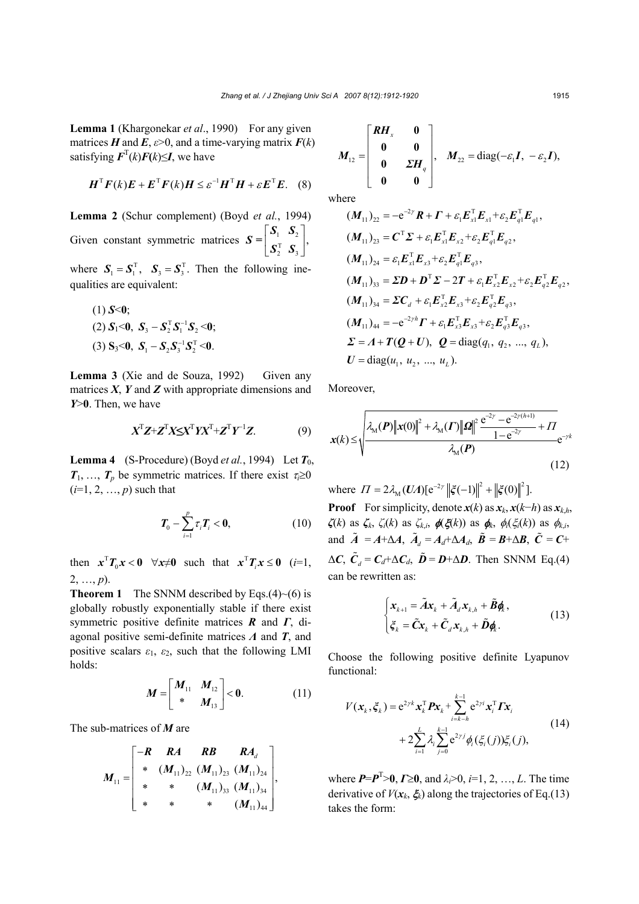**Lemma 1** (Khargonekar *et al*., 1990)For any given matrices *H* and *E*,  $\varepsilon > 0$ , and a time-varying matrix  $F(k)$ satisfying  $\mathbf{F}^{T}(k)\mathbf{F}(k) \leq I$ , we have

$$
\boldsymbol{H}^{\mathrm{T}}\boldsymbol{F}(k)\boldsymbol{E} + \boldsymbol{E}^{\mathrm{T}}\boldsymbol{F}(k)\boldsymbol{H} \leq \varepsilon^{-1}\boldsymbol{H}^{\mathrm{T}}\boldsymbol{H} + \varepsilon\boldsymbol{E}^{\mathrm{T}}\boldsymbol{E}.
$$
 (8)

**Lemma 2** (Schur complement) (Boyd *et al.*, 1994) Given constant symmetric matrices  $S = \begin{bmatrix} S_1 & S_2 \ S_2^T & S_3 \end{bmatrix}$ , *S =*  $S^{\text{\tiny T}}_{\text{\tiny 2}}$  *S* 

where  $S_1 = S_1^T$ ,  $S_3 = S_3^T$ . Then the following inequalities are equivalent:

 $(1) S < 0;$  $(2) S_1 < 0, S_3 - S_2^T S_1^{-1} S_2 < 0;$  $(3) S_3 < 0$ ,  $S_1 - S_2 S_3^{-1} S_2^{T} < 0$ .

**Lemma 3** (Xie and de Souza, 1992)Given any matrices  $X$ ,  $Y$  and  $Z$  with appropriate dimensions and *Y*>**0**. Then, we have

$$
X^{T}Z+Z^{T}X\leq X^{T}YX^{T}+Z^{T}Y^{-1}Z.
$$
 (9)

**Lemma 4** (S-Procedure) (Boyd *et al.*, 1994) Let  $T_0$ ,  $T_1, \ldots, T_p$  be symmetric matrices. If there exist  $\tau_i \geq 0$  $(i=1, 2, ..., p)$  such that

$$
\boldsymbol{T}_0 - \sum_{i=1}^p \boldsymbol{\tau}_i \boldsymbol{T}_i < \mathbf{0},\tag{10}
$$

then  $x^T T_0 x < 0$   $\forall x \neq 0$  such that  $x^T T_0 x \leq 0$  (*i*=1, 2, …, *p*).

**Theorem 1** The SNNM described by Eqs.(4) $\sim$ (6) is globally robustly exponentially stable if there exist symmetric positive definite matrices *R* and *Γ*, diagonal positive semi-definite matrices *Λ* and *T*, and positive scalars  $\varepsilon_1$ ,  $\varepsilon_2$ , such that the following LMI holds:

$$
M = \begin{bmatrix} M_{11} & M_{12} \\ * & M_{13} \end{bmatrix} < 0.
$$
 (11)

The sub-matrices of *M* are

$$
M_{11} = \begin{bmatrix} -R & RA & RB & RA_d \\ * & (M_{11})_{22} & (M_{11})_{23} & (M_{11})_{24} \\ * & * & (M_{11})_{33} & (M_{11})_{34} \\ * & * & * & (M_{11})_{44} \end{bmatrix},
$$

$$
M_{12} = \begin{bmatrix} RH_x & 0 \\ 0 & 0 \\ 0 & EH_y \\ 0 & 0 \end{bmatrix}, \quad M_{22} = \text{diag}(-\varepsilon_1 \boldsymbol{I}, -\varepsilon_2 \boldsymbol{I}),
$$

where

$$
(M_{11})_{22} = -e^{-2\gamma} R + \Gamma + \varepsilon_1 E_{x1}^{\mathrm{T}} E_{x1} + \varepsilon_2 E_{q1}^{\mathrm{T}} E_{q1},
$$
  
\n
$$
(M_{11})_{23} = C^{\mathrm{T}} \Sigma + \varepsilon_1 E_{x1}^{\mathrm{T}} E_{x2} + \varepsilon_2 E_{q1}^{\mathrm{T}} E_{q2},
$$
  
\n
$$
(M_{11})_{24} = \varepsilon_1 E_{x1}^{\mathrm{T}} E_{x3} + \varepsilon_2 E_{q1}^{\mathrm{T}} E_{q3},
$$
  
\n
$$
(M_{11})_{33} = \Sigma D + D^{\mathrm{T}} \Sigma - 2T + \varepsilon_1 E_{x2}^{\mathrm{T}} E_{x2} + \varepsilon_2 E_{q2}^{\mathrm{T}} E_{q2},
$$
  
\n
$$
(M_{11})_{34} = \Sigma C_d + \varepsilon_1 E_{x2}^{\mathrm{T}} E_{x3} + \varepsilon_2 E_{q2}^{\mathrm{T}} E_{q3},
$$
  
\n
$$
(M_{11})_{44} = -e^{-2\gamma h} \Gamma + \varepsilon_1 E_{x3}^{\mathrm{T}} E_{x3} + \varepsilon_2 E_{q3}^{\mathrm{T}} E_{q3},
$$
  
\n
$$
\Sigma = A + T(Q + U), Q = \text{diag}(q_1, q_2, ..., q_L),
$$
  
\n
$$
U = \text{diag}(u_1, u_2, ..., u_L).
$$

Moreover,

$$
x(k) \le \sqrt{\frac{\lambda_{\mathcal{M}}(P) \|x(0)\|^2 + \lambda_{\mathcal{M}}(P) \|Q\|^2 \frac{e^{-2\gamma} - e^{-2\gamma(h+1)}}{1 - e^{-2\gamma}} + \Pi}{\lambda_{\mathcal{M}}(P)}} e^{-\gamma k}
$$
(12)

where  $\Pi = 2\lambda_{\rm M}(UA)[e^{-2\gamma} ||\xi(-1)||^2 + ||\xi(0)||^2]$ .

**Proof** For simplicity, denote  $x(k)$  as  $x_k$ ,  $x(k-h)$  as  $x_{k,h}$ , *ζ*(*k*) as *ζk*, *ζi*(*k*) as *ζk*,*i*, φ(ξ(*k*)) as φ*k*, φ*i*(ξ*i*(*k*)) as φ*k*,*i*, and  $\tilde{A} = A + \Delta A$ ,  $\tilde{A}_d = A_d + \Delta A_d$ ,  $\tilde{B} = B + \Delta B$ ,  $\tilde{C} = C +$  $\Delta C$ ,  $\tilde{C}_d$  =  $C_d + \Delta C_d$ ,  $\tilde{D} = D + \Delta D$ . Then SNNM Eq.(4) can be rewritten as:

$$
\begin{cases} \mathbf{x}_{k+1} = \tilde{A}\mathbf{x}_k + \tilde{A}_d\mathbf{x}_{k,h} + \tilde{B}\mathbf{\phi}_k, \\ \xi_k = \tilde{C}\mathbf{x}_k + \tilde{C}_d\mathbf{x}_{k,h} + \tilde{D}\mathbf{\phi}_k. \end{cases}
$$
(13)

Choose the following positive definite Lyapunov functional:

$$
V(\mathbf{x}_{k}, \xi_{k}) = e^{2\gamma k} \mathbf{x}_{k}^{\mathrm{T}} \mathbf{P} \mathbf{x}_{k} + \sum_{i=k-h}^{k-1} e^{2\gamma i} \mathbf{x}_{i}^{\mathrm{T}} \mathbf{\Gamma} \mathbf{x}_{i} + 2 \sum_{i=1}^{L} \lambda_{i} \sum_{j=0}^{k-1} e^{2\gamma j} \phi_{i}(\xi_{i}(j)) \xi_{i}(j),
$$
\n(14)

where *P*=*P*<sup>T</sup> >**0**, *Γ*≥**0**, and *λi*>0, *i*=1, 2, …, *L*. The time derivative of  $V(x_k, \xi_k)$  along the trajectories of Eq.(13) takes the form: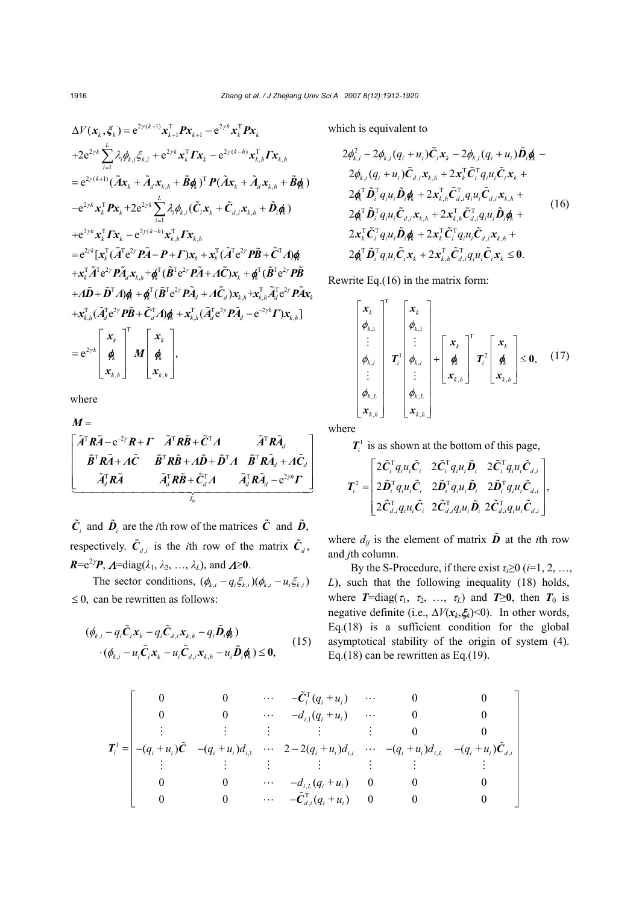$$
\Delta V(\mathbf{x}_{k}, \xi_{k}) = e^{2\gamma(k+1)} \mathbf{x}_{k+1}^{\mathrm{T}} \mathbf{P} \mathbf{x}_{k+1} - e^{2\gamma k} \mathbf{x}_{k}^{\mathrm{T}} \mathbf{P} \mathbf{x}_{k}
$$
  
+2e<sup>2\gamma k</sup>  $\sum_{i=1}^{L} \lambda_{i} \phi_{k,i} \xi_{k,i} + e^{2\gamma k} \mathbf{x}_{k}^{\mathrm{T}} \mathbf{\Gamma} \mathbf{x}_{k} - e^{2\gamma(k-h)} \mathbf{x}_{k,h}^{\mathrm{T}} \mathbf{\Gamma} \mathbf{x}_{k,h}$   
= e<sup>2\gamma(k+1)</sup>  $(\tilde{A} \mathbf{x}_{k} + \tilde{A}_{d} \mathbf{x}_{k,h} + \tilde{B} \phi_{k})^{\mathrm{T}} P(\tilde{A} \mathbf{x}_{k} + \tilde{A}_{d} \mathbf{x}_{k,h} + \tilde{B} \phi_{k})$   
-e<sup>2\gamma k</sup>  $\mathbf{x}_{k}^{\mathrm{T}} \mathbf{P} \mathbf{x}_{k} + 2e^{2\gamma k} \sum_{i=1}^{L} \lambda_{i} \phi_{k,i} (\tilde{C}_{i} \mathbf{x}_{k} + \tilde{C}_{d,i} \mathbf{x}_{k,h} + \tilde{D}_{i} \phi_{k})$   
+e<sup>2\gamma k</sup>  $\mathbf{x}_{k}^{\mathrm{T}} \mathbf{\Gamma} \mathbf{x}_{k} - e^{2\gamma(k-h)} \mathbf{x}_{k,h}^{\mathrm{T}} \mathbf{\Gamma} \mathbf{x}_{k,h}$   
= e<sup>2\gamma k</sup>  $[\mathbf{x}_{k}^{\mathrm{T}} (\tilde{A}^{\mathrm{T}} e^{2\gamma} \mathbf{P} \tilde{A} - \mathbf{P} + \mathbf{\Gamma}) \mathbf{x}_{k} + \mathbf{x}_{k}^{\mathrm{T}} (\tilde{A}^{\mathrm{T}} e^{2\gamma} \mathbf{P} \tilde{B} + \tilde{C}^{\mathrm{T}} A) \phi_{k}$   
+ $\mathbf{x}_{k}^{\mathrm{T}} \tilde{A}^{\mathrm{T}} e^{2\gamma} \mathbf{P} \tilde{A}_{d} \mathbf{x}_{k,h} + \phi_{k}^{\mathrm{T}} (\tilde{B}^{\mathrm{T}} e^{2\gamma} \mathbf{P} \tilde{A} + A \tilde{C}_{d}) \$ 

where

$$
M = \begin{bmatrix} \tilde{A}^{\mathrm{T}} R \tilde{A} - e^{-2\gamma} R + \Gamma & \tilde{A}^{\mathrm{T}} R \tilde{B} + \tilde{C}^{\mathrm{T}} A & \tilde{A}^{\mathrm{T}} R \tilde{A}_d \\ \tilde{B}^{\mathrm{T}} R \tilde{A} + A \tilde{C} & \tilde{B}^{\mathrm{T}} R \tilde{B} + A \tilde{D} + \tilde{D}^{\mathrm{T}} A & \tilde{B}^{\mathrm{T}} R \tilde{A}_d + A \tilde{C}_d \\ \tilde{A}_d^{\mathrm{T}} R \tilde{A} & \tilde{A}_d^{\mathrm{T}} R \tilde{B} + \tilde{C}_d^{\mathrm{T}} A & \tilde{A}_d^{\mathrm{T}} R \tilde{A}_d - e^{2\gamma h} \Gamma \\ \tilde{A}_b^{\mathrm{T}} R \tilde{B} & \tilde{A}_b^{\mathrm{T}} R \tilde{B} + \tilde{C}_d^{\mathrm{T}} A & \tilde{A}_d^{\mathrm{T}} R \tilde{A}_d - e^{2\gamma h} \Gamma \end{bmatrix}
$$

 $\tilde{C}_i$  and  $\tilde{D}_i$  are the *i*th row of the matrices  $\tilde{C}$  and  $\tilde{D}_i$ , respectively.  $\tilde{C}_{d,i}$  is the *i*th row of the matrix  $\tilde{C}_d$ ,  $R = e^{2\gamma}P$ ,  $A = \text{diag}(\lambda_1, \lambda_2, ..., \lambda_L)$ , and  $A \ge 0$ .

The sector conditions,  $(\phi_{k,i} - q_i \xi_{k,i}) (\phi_{k,i} - u_i \xi_{k,i})$  $\leq$  0, can be rewritten as follows:

$$
(\phi_{k,i} - q_i \tilde{\mathbf{C}}_i \mathbf{x}_k - q_i \tilde{\mathbf{C}}_{d,i} \mathbf{x}_{k,h} - q_i \tilde{\mathbf{D}}_i \phi_k) \n\cdot (\phi_{k,i} - u_i \tilde{\mathbf{C}}_i \mathbf{x}_k - u_i \tilde{\mathbf{C}}_{d,i} \mathbf{x}_{k,h} - u_i \tilde{\mathbf{D}}_i \phi_k) \le 0,
$$
\n(15)

which is equivalent to

$$
2\phi_{k,i}^{2} - 2\phi_{k,i}(q_{i} + u_{i})\tilde{C}_{i}x_{k} - 2\phi_{k,i}(q_{i} + u_{i})\tilde{D}_{i}\phi_{k} - 2\phi_{k,i}(q_{i} + u_{i})\tilde{C}_{d,i}x_{k,h} + 2x_{k}^{\top}\tilde{C}_{i}^{\top}q_{i}u_{i}\tilde{C}_{i}x_{k} + 2\phi_{k}^{\top}\tilde{D}_{i}^{\top}q_{i}u_{i}\tilde{D}_{i}\phi_{k} + 2x_{k,h}^{\top}\tilde{C}_{d,i}^{\top}q_{i}u_{i}\tilde{C}_{d,i}x_{k,h} + 2\phi_{k}^{\top}\tilde{D}_{i}^{\top}q_{i}u_{i}\tilde{C}_{d,i}x_{k,h} + 2x_{k,h}^{\top}\tilde{C}_{d,i}^{\top}q_{i}u_{i}\tilde{D}_{i}\phi_{k} + 2x_{k}^{\top}\tilde{C}_{i}^{\top}q_{i}u_{i}\tilde{D}_{i}\phi_{k} + 2x_{k}^{\top}\tilde{C}_{i}^{\top}q_{i}u_{i}\tilde{C}_{d,i}x_{k,h} + 2\phi_{k}^{\top}\tilde{D}_{i}^{\top}q_{i}u_{i}\tilde{C}_{i}x_{k} + 2x_{k,h}^{\top}\tilde{C}_{i}^{\top}q_{i}u_{i}\tilde{C}_{i}x_{k} + 2x_{k,h}^{\top}\tilde{C}_{d,i}^{\top}q_{i}u_{i}\tilde{C}_{i}x_{k} \leq 0.
$$

Rewrite Eq.(16) in the matrix form:

$$
\begin{bmatrix} \mathbf{x}_{k} \\ \boldsymbol{\phi}_{k,1} \\ \vdots \\ \boldsymbol{\phi}_{k,i} \\ \vdots \\ \boldsymbol{\phi}_{k,L} \\ \mathbf{x}_{k,h} \end{bmatrix}^{\mathrm{T}} \mathbf{T}_{i} \begin{bmatrix} \mathbf{x}_{k} \\ \boldsymbol{\phi}_{k,1} \\ \vdots \\ \boldsymbol{\phi}_{k,i} \\ \vdots \\ \boldsymbol{\phi}_{k,L} \\ \mathbf{x}_{k,h} \end{bmatrix} + \begin{bmatrix} \mathbf{x}_{k} \\ \boldsymbol{\phi}_{k} \\ \boldsymbol{\phi}_{k} \\ \mathbf{x}_{k,h} \end{bmatrix}^{\mathrm{T}} \mathbf{T}_{i}^{2} \begin{bmatrix} \mathbf{x}_{k} \\ \boldsymbol{\phi}_{k} \\ \mathbf{x}_{k,h} \end{bmatrix} \leq \mathbf{0}, \quad (17)
$$

where

 $T_i^1$  is as shown at the bottom of this page,

$$
\boldsymbol{T}_{i}^{2} = \begin{bmatrix} 2\tilde{\boldsymbol{C}}_{i}^{\mathrm{T}}q_{i}u_{i}\tilde{\boldsymbol{C}}_{i} & 2\tilde{\boldsymbol{C}}_{i}^{\mathrm{T}}q_{i}u_{i}\tilde{\boldsymbol{D}}_{i} & 2\tilde{\boldsymbol{C}}_{i}^{\mathrm{T}}q_{i}u_{i}\tilde{\boldsymbol{C}}_{d,i} \\ 2\tilde{\boldsymbol{D}}_{i}^{\mathrm{T}}q_{i}u_{i}\tilde{\boldsymbol{C}}_{i} & 2\tilde{\boldsymbol{D}}_{i}^{\mathrm{T}}q_{i}u_{i}\tilde{\boldsymbol{D}}_{i} & 2\tilde{\boldsymbol{D}}_{i}^{\mathrm{T}}q_{i}u_{i}\tilde{\boldsymbol{C}}_{d,i} \\ 2\tilde{\boldsymbol{C}}_{d,i}^{\mathrm{T}}q_{i}u_{i}\tilde{\boldsymbol{C}}_{i} & 2\tilde{\boldsymbol{C}}_{d,i}^{\mathrm{T}}q_{i}u_{i}\tilde{\boldsymbol{D}}_{i} & 2\tilde{\boldsymbol{C}}_{d,i}^{\mathrm{T}}q_{i}u_{i}\tilde{\boldsymbol{C}}_{d,i} \end{bmatrix},
$$

where  $d_{ij}$  is the element of matrix  $\tilde{\boldsymbol{D}}$  at the *i*th row and *j*th column.

By the S-Procedure, if there exist  $\tau_i \geq 0$  (*i*=1, 2, …, *L*), such that the following inequality (18) holds, where  $T=diag(\tau_1, \tau_2, \ldots, \tau_L)$  and  $T\geq 0$ , then  $T_0$  is negative definite (i.e., ∆*V*(*xk*,ξ*k*)<0). In other words, Eq.(18) is a sufficient condition for the global asymptotical stability of the origin of system (4). Eq.(18) can be rewritten as Eq.(19).

$$
\boldsymbol{T}_{i}^{1} = \begin{bmatrix}\n0 & 0 & \cdots & -\tilde{C}_{i}^{T}(q_{i} + u_{i}) & \cdots & 0 & 0 \\
0 & 0 & \cdots & -d_{i,1}(q_{i} + u_{i}) & \cdots & 0 & 0 \\
\vdots & \vdots & \vdots & \vdots & \vdots & 0 & 0 \\
-(q_{i} + u_{i})\tilde{C} & -(q_{i} + u_{i})d_{i,1} & \cdots & 2 - 2(q_{i} + u_{i})d_{i,i} & \cdots & -(q_{i} + u_{i})d_{i,L} & -(q_{i} + u_{i})\tilde{C}_{d,i} \\
\vdots & \vdots & \vdots & \vdots & \vdots & \vdots & \vdots \\
0 & 0 & \cdots & -d_{i,L}(q_{i} + u_{i}) & 0 & 0 & 0 \\
0 & 0 & \cdots & -\tilde{C}_{d,i}^{T}(q_{i} + u_{i}) & 0 & 0 & 0\n\end{bmatrix}
$$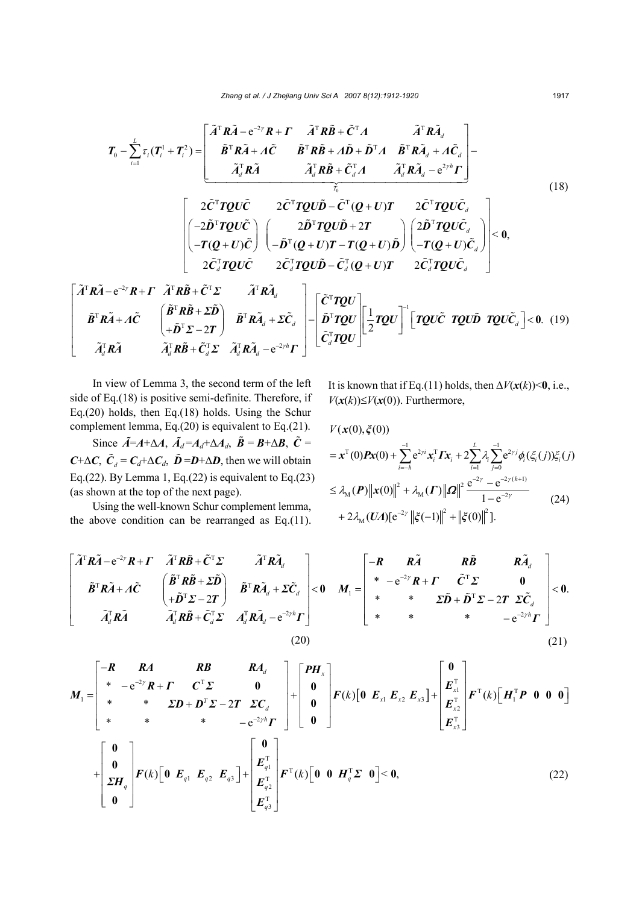$$
T_{0} - \sum_{i=1}^{L} \tau_{i} (T_{i}^{1} + T_{i}^{2}) = \begin{bmatrix} \tilde{A}^{T} R \tilde{A} - e^{-2\gamma} R + \Gamma & \tilde{A}^{T} R \tilde{B} + \tilde{C}^{T} \Lambda & \tilde{A}^{T} R \tilde{A}_{d} \\ \tilde{B}^{T} R \tilde{A} + \Lambda \tilde{C} & \tilde{B}^{T} R \tilde{B} + \Lambda \tilde{D} + \tilde{D}^{T} \Lambda & \tilde{B}^{T} R \tilde{A}_{d} + \Lambda \tilde{C}_{d} \\ \tilde{A}_{d}^{T} R \tilde{A} & \tilde{A}_{d}^{T} R \tilde{B} + \tilde{C}_{d}^{T} \Lambda & \tilde{A}_{d}^{T} R \tilde{A}_{d} - e^{2\gamma h} \Gamma \end{bmatrix} - \frac{2 \tilde{C}^{T} T Q U \tilde{C}}{\tilde{A}_{d}^{T} R \tilde{A}} \begin{bmatrix} 2 \tilde{C}^{T} T Q U \tilde{C} & 2 \tilde{C}^{T} T Q U \tilde{D} - \tilde{C}^{T} (Q + U) T & 2 \tilde{C}^{T} T Q U \tilde{C}_{d} \\ -T (Q + U) \tilde{C} \end{bmatrix} \begin{bmatrix} 2 \tilde{D}^{T} T Q U \tilde{D} + 2T & 2 \tilde{C}^{T} T Q U \tilde{C}_{d} \\ -\tilde{D}^{T} (Q + U) T - T (Q + U) \tilde{D} \end{bmatrix} \begin{bmatrix} 2 \tilde{D}^{T} T Q U \tilde{C}_{d} \\ -T (Q + U) \tilde{C}_{d} \end{bmatrix} = 0,
$$
\n
$$
\begin{bmatrix} \tilde{A}^{T} R \tilde{A} - e^{-2\gamma} R + \Gamma & \tilde{A}^{T} R \tilde{B} + \tilde{C}^{T} \Sigma & \tilde{A}^{T} R \tilde{A}_{d} \\ 2 \tilde{C}_{d}^{T} T Q U \tilde{C} & 2 \tilde{C}_{d}^{T} T Q U \tilde{D} - \tilde{C}_{d}^{T} (Q + U) T & 2 \tilde{C}_{d}^{T} T
$$

In view of Lemma 3, the second term of the left side of Eq.(18) is positive semi-definite. Therefore, if Eq.(20) holds, then Eq.(18) holds. Using the Schur complement lemma, Eq.(20) is equivalent to Eq.(21).

Since  $\tilde{A} = A + \Delta A$ ,  $\tilde{A}_d = A_d + \Delta A_d$ ,  $\tilde{B} = B + \Delta B$ ,  $\tilde{C} =$  $C + \Delta C$ ,  $\tilde{C}_d = C_d + \Delta C_d$ ,  $\tilde{D} = D + \Delta D$ , then we will obtain Eq.(22). By Lemma 1, Eq.(22) is equivalent to Eq.(23) (as shown at the top of the next page).

Using the well-known Schur complement lemma, the above condition can be rearranged as Eq.(11). It is known that if Eq.(11) holds, then  $\Delta V(\mathbf{x}(k))$  < 0, i.e., *V*( $x$ ( $k$ ))≤*V*( $x$ (0)). Furthermore,

$$
V(\mathbf{x}(0), \xi(0))
$$
  
\n
$$
= \mathbf{x}^{T}(0) \mathbf{P} \mathbf{x}(0) + \sum_{i=-h}^{-1} e^{2\gamma i} \mathbf{x}_{i}^{T} \mathbf{\Gamma} \mathbf{x}_{i} + 2 \sum_{i=1}^{L} \lambda_{i} \sum_{j=0}^{-1} e^{2\gamma j} \phi_{i}(\xi_{i}(j)) \xi_{i}(j)
$$
  
\n
$$
\leq \lambda_{M}(\mathbf{P}) ||\mathbf{x}(0)||^{2} + \lambda_{M}(\mathbf{\Gamma}) ||\mathbf{\Omega}||^{2} \frac{e^{-2\gamma} - e^{-2\gamma(h+1)}}{1 - e^{-2\gamma}}
$$
  
\n
$$
+ 2 \lambda_{M}(\mathbf{U}\Lambda)[e^{-2\gamma} ||\xi(-1)||^{2} + ||\xi(0)||^{2}].
$$
\n(24)

$$
\begin{bmatrix}\n\tilde{A}^{\mathrm{T}}R\tilde{A}-e^{-2\gamma}R+\Gamma & \tilde{A}^{\mathrm{T}}R\tilde{B}+\tilde{C}^{\mathrm{T}}\Sigma & \tilde{A}^{\mathrm{T}}R\tilde{A}_{d} \\
\tilde{B}^{\mathrm{T}}R\tilde{A}+\Lambda\tilde{C} & \begin{pmatrix} \tilde{B}^{\mathrm{T}}R\tilde{B}+\tilde{C}^{\mathrm{T}}\Sigma & \tilde{A}^{\mathrm{T}}R\tilde{A}_{d} + \Sigma\tilde{C}_{d} \\
+\tilde{D}^{\mathrm{T}}\Sigma-2\Gamma & \tilde{B}^{\mathrm{T}}R\tilde{A}_{d} + \Sigma\tilde{C}_{d} \\
\tilde{A}_{d}^{\mathrm{T}}R\tilde{A} & \tilde{A}_{d}^{\mathrm{T}}R\tilde{B}+\tilde{C}_{d}^{\mathrm{T}}\Sigma & A_{d}^{\mathrm{T}}R\tilde{A}_{d}-e^{-2\gamma h}\Gamma\n\end{pmatrix} < 0 & M_{1}=\n\begin{bmatrix}\n-R & R\tilde{A} & R\tilde{B} & R\tilde{A}_{d} \\
\ast & -e^{-2\gamma}R+\Gamma & \tilde{C}^{\mathrm{T}}\Sigma & 0 \\
\ast & \ast & \Sigma\tilde{D}+\tilde{D}^{\mathrm{T}}\Sigma-2\Gamma & \Sigma\tilde{C}_{d} \\
\ast & \ast & -e^{-2\gamma h}\Gamma\n\end{bmatrix} < 0. \tag{21}
$$

$$
M_{1} = \begin{bmatrix} -R & RA & RB & RA_{d} \\ * & -e^{-2\gamma}R + \Gamma & C^{T}\Sigma & 0 \\ * & * & \Sigma D + D^{T}\Sigma - 2\Gamma & \Sigma C_{d} \\ * & * & * & -e^{-2\gamma h}\Gamma \end{bmatrix} + \begin{bmatrix} PH_{x} \\ 0 \\ 0 \\ 0 \end{bmatrix} F(k)[0 \ E_{x1} E_{x2} E_{x3}] + \begin{bmatrix} E_{x1}^{T} \\ E_{x2}^{T} \\ E_{x3}^{T} \end{bmatrix} F^{T}(k)[H_{1}^{T}P \ 0 \ 0 \ 0] = \begin{bmatrix} 0 \\ \Sigma H_{q} \\ \Sigma H_{q} \\ 0 \end{bmatrix}
$$

$$
+ \begin{bmatrix} 0 \\ 0 \\ \Sigma H_{q} \\ 0 \end{bmatrix} F(k)[0 \ E_{q1} E_{q2} E_{q3}] + \begin{bmatrix} 0 \\ E_{q1}^{T} \\ E_{q2}^{T} \\ E_{q3}^{T} \end{bmatrix} F^{T}(k)[0 \ 0 \ H_{q}^{T}\Sigma \ 0] < 0, \qquad (22)
$$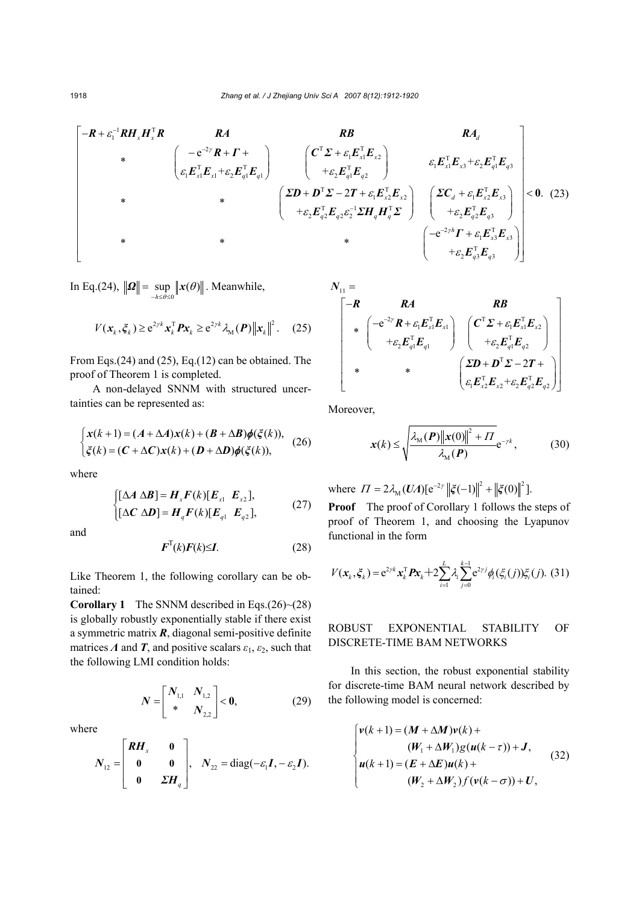$$
\begin{bmatrix}\n-R + \varepsilon_1^{-1} R H_x H_x^{\mathrm{T}} R & RA & RB & RA_d \\
\ast & \left( \varepsilon_1 E_{x1}^{\mathrm{T}} E_{x1} + \varepsilon_2 E_{q1}^{\mathrm{T}} E_{q1} \right) & \left( \varepsilon_1^{\mathrm{T}} \Sigma + \varepsilon_1 E_{x1}^{\mathrm{T}} E_{q2} \right) & \varepsilon_1 E_{x1}^{\mathrm{T}} E_{x3} + \varepsilon_2 E_{q1}^{\mathrm{T}} E_{q3} \\
\ast & \ast & \left( \varepsilon_2^{\mathrm{T}} \Sigma + \varepsilon_1 E_{x2}^{\mathrm{T}} \Sigma + \varepsilon_2 E_{x2}^{\mathrm{T}} \Sigma + \varepsilon_1 E_{x2}^{\mathrm{T}} \Sigma + \varepsilon_1 E_{x2}^{\mathrm{T}} \Sigma + \varepsilon_1 E_{x2}^{\mathrm{T}} \Sigma + \varepsilon_1 E_{x2}^{\mathrm{T}} \Sigma + \varepsilon_2 E_{x2}^{\mathrm{T}} \Sigma + \varepsilon_2 E_{x2}^{\mathrm{T}} \Sigma + \varepsilon_2 E_{x2}^{\mathrm{T}} \Sigma + \varepsilon_2 E_{x2}^{\mathrm{T}} \Sigma + \varepsilon_1 E_{x2}^{\mathrm{T}} \Sigma + \varepsilon_1 E_{x3}^{\mathrm{T}} \Sigma + \varepsilon_2 E_{x3}^{\mathrm{T}} \Sigma + \varepsilon_2 E_{x3}^{\mathrm{T}} \Sigma + \varepsilon_2 E_{x3}^{\mathrm{T}} \Sigma + \varepsilon_2 E_{x3}^{\mathrm{T}} \Sigma + \varepsilon_2 E_{x3}^{\mathrm{T}} \Sigma + \varepsilon_2 E_{x3}^{\mathrm{T}} \Sigma + \varepsilon_2 E_{x3}^{\mathrm{T}} \Sigma + \varepsilon_2 E_{x3}^{\mathrm{T}} \Sigma + \varepsilon_2 E_{x3}^{\mathrm{T}} \Sigma + \varepsilon_2 E_{x3}^{\mathrm{T}} \Sigma + \varepsilon_2 E_{x3}^{\mathrm{T}} \Sigma + \varepsilon_2 E_{x3}^{\mathrm{T}} \Sigma + \varepsilon_2 E_{x3}^{\mathrm{T}} \Sigma + \varepsilon_2 E_{x3}^{\mathrm{T}} \Sigma + \varepsilon_2 E_{x3}^{\mathrm{T}} \Sigma + \varepsilon_2 E_{x3}^{\mathrm{T}} \Sigma + \varepsilon_2 E_{x3}^{\
$$

In Eq.(24),  $\|\mathbf{\Omega}\| = \sup_{-h \leq \theta \leq 0} ||\mathbf{x}(\theta)||$ θ  $\boldsymbol{\Omega}$  =  $\sup_{-h \leq \theta \leq 0}$   $\|\boldsymbol{x}(\theta)\|$ . Meanwhile,

$$
V(\boldsymbol{x}_{k}, \boldsymbol{\xi}_{k}) \geq e^{2\gamma k} \boldsymbol{x}_{k}^{\mathrm{T}} \boldsymbol{P} \boldsymbol{x}_{k} \geq e^{2\gamma k} \lambda_{\mathrm{M}}(\boldsymbol{P}) \left\| \boldsymbol{x}_{k} \right\|^{2}.
$$
 (25)

From Eqs.(24) and (25), Eq.(12) can be obtained. The proof of Theorem 1 is completed.

A non-delayed SNNM with structured uncertainties can be represented as:

$$
\begin{cases} x(k+1) = (A + \Delta A)x(k) + (B + \Delta B)\phi(\xi(k)), \\ \xi(k) = (C + \Delta C)x(k) + (D + \Delta D)\phi(\xi(k)), \end{cases}
$$
 (26)

where

$$
\begin{cases}\n[\Delta A \ \Delta B] = H_x F(k)[E_{x1} \ E_{x2}], \\
[\Delta C \ \Delta D] = H_q F(k)[E_{q1} \ E_{q2}],\n\end{cases}
$$
\n(27)

and

$$
\boldsymbol{F}^{\mathrm{T}}(k)\boldsymbol{F}(k)\leq\boldsymbol{I}.\tag{28}
$$

Like Theorem 1, the following corollary can be obtained:

**Corollary 1** The SNNM described in Eqs.(26)~(28) is globally robustly exponentially stable if there exist a symmetric matrix *R*, diagonal semi-positive definite matrices  $\Lambda$  and  $\mathbf{T}$ , and positive scalars  $\varepsilon_1$ ,  $\varepsilon_2$ , such that the following LMI condition holds:

$$
N = \begin{bmatrix} N_{1,1} & N_{1,2} \\ * & N_{2,2} \end{bmatrix} < 0, \tag{29}
$$

where

$$
N_{12} = \begin{bmatrix} \boldsymbol{R} \boldsymbol{H}_x & \boldsymbol{0} \\ \boldsymbol{0} & \boldsymbol{0} \\ \boldsymbol{0} & \boldsymbol{\Sigma} \boldsymbol{H}_q \end{bmatrix}, \quad N_{22} = \text{diag}(-\varepsilon_1 \boldsymbol{I}, -\varepsilon_2 \boldsymbol{I}).
$$

$$
N_{11} =
$$
\n
$$
\begin{bmatrix}\n-R & RA & RB \\
* & (-e^{-2\gamma}R + \varepsilon_1 E_{x1}^T E_{x1}) & (C^T \Sigma + \varepsilon_1 E_{x1}^T E_{x2}) \\
* & * & (\Sigma D + D^T \Sigma - 2T + \\
* & * & (\varepsilon_1 E_{x2}^T E_{x2} + \varepsilon_2 E_{q2}^T E_{q2})\n\end{bmatrix}
$$

Moreover,

$$
\mathbf{x}(k) \le \sqrt{\frac{\lambda_{\mathrm{M}}(\boldsymbol{P}) \|\mathbf{x}(0)\|^2 + \Pi}{\lambda_{\mathrm{M}}(\boldsymbol{P})}} e^{-\gamma k},\tag{30}
$$

where  $\Pi = 2\lambda_{\rm M}(UA)[e^{-2\gamma} ||\xi(-1)||^2 + ||\xi(0)||^2]$ .

**Proof** The proof of Corollary 1 follows the steps of proof of Theorem 1, and choosing the Lyapunov functional in the form

$$
V(\mathbf{x}_{k}, \xi_{k}) = e^{2\gamma k} \mathbf{x}_{k}^{\mathrm{T}} \mathbf{P} \mathbf{x}_{k} + 2 \sum_{i=1}^{L} \lambda_{i} \sum_{j=0}^{k-1} e^{2\gamma j} \phi_{i}(\xi_{i}(j)) \xi_{i}(j). (31)
$$

ROBUST EXPONENTIAL STABILITY OF DISCRETE-TIME BAM NETWORKS

In this section, the robust exponential stability for discrete-time BAM neural network described by the following model is concerned:

$$
\begin{cases}\nv(k+1) = (M + \Delta M)v(k) + \\
 (W_1 + \Delta W_1)g(u(k-\tau)) + J, \\
 u(k+1) = (E + \Delta E)u(k) + \\
 (W_2 + \Delta W_2)f(v(k-\sigma)) + U,\n\end{cases}
$$
\n(32)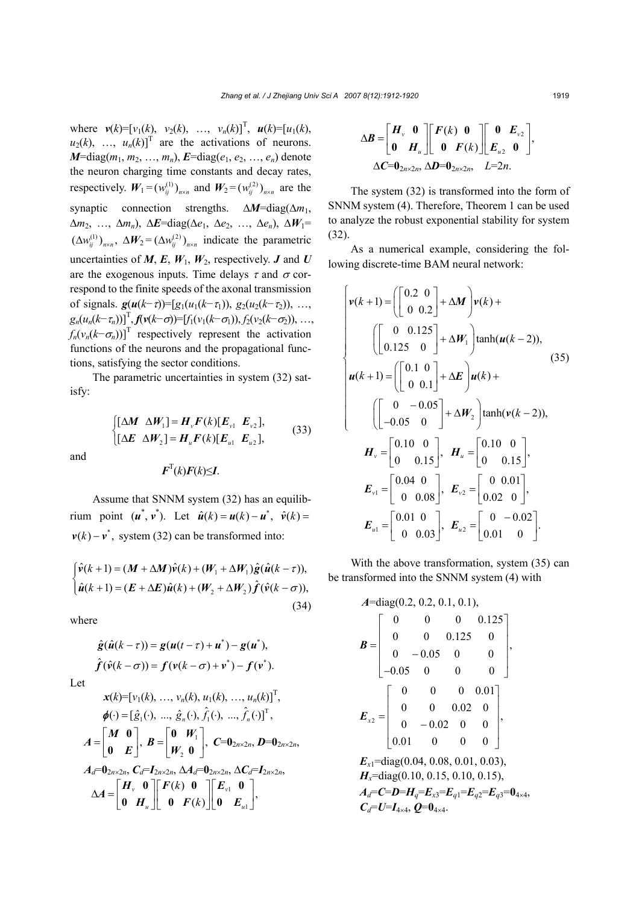where  $v(k) = [v_1(k), v_2(k), ..., v_n(k)]^T$ ,  $u(k) = [u_1(k),$  $u_2(k)$ , ...,  $u_n(k)$ <sup>T</sup> are the activations of neurons. *M*=diag( $m_1, m_2, ..., m_n$ ), *E*=diag( $e_1, e_2, ..., e_n$ ) denote the neuron charging time constants and decay rates, respectively.  $W_1 = (w_{ii}^{(1)})_{n \times n}$  and  $W_2 = (w_{ii}^{(2)})_{n \times n}$  are the synaptic connection strengths. ∆*M*=diag(∆*m*1, ∆*m*2, …, ∆*mn*), ∆*E*=diag(∆*e*1, ∆*e*2, …, ∆*en*), ∆*W*1=  $(\Delta w_{ii}^{(1)})_{n \times n}$ ,  $\Delta W_2 = (\Delta w_{ii}^{(2)})_{n \times n}$  indicate the parametric uncertainties of  $M$ ,  $E$ ,  $W_1$ ,  $W_2$ , respectively.  $J$  and  $U$ are the exogenous inputs. Time delays  $\tau$  and  $\sigma$  correspond to the finite speeds of the axonal transmission of signals.  $g(u(k-\tau))=[g_1(u_1(k-\tau_1)), g_2(u_2(k-\tau_2)), \ldots,$  $g_n(u_n(k-\tau_n))]^T$ ,  $f(v(k-\sigma))=[f_1(v_1(k-\sigma_1)), f_2(v_2(k-\sigma_2)), \ldots,$  $f_n(v_n(k-\sigma_n))]$ <sup>T</sup> respectively represent the activation functions of the neurons and the propagational functions, satisfying the sector conditions.

The parametric uncertainties in system (32) satisfy:

> $1 - \mathbf{H}_v \cdot (\mathbf{W}) \mathbf{L}_v \cdot \mathbf{L}_v$ 2 **1**  $\boldsymbol{u}_u$  (*N*)  $\boldsymbol{L}_{u1}$   $\boldsymbol{L}_{u2}$  $[\Delta M \ \Delta W_1] = H_v F(k) [E_{v1} \ E_{v2}],$  $[\Delta E \ \Delta W_{2}] = H_{\nu} F(k) [E_{\nu} E_{\nu}],$  $v^{\perp}$  (*N*)[ $v_1$   $v_y$  $u^{\perp}$  ( $\sim$ )[ $\perp u$ <sub>ul</sub>  $\perp u$ <sub>u</sub> *k*  $\begin{cases} [\Delta M \;\; \Delta W_1] = H_v F(k) \ \lambda E \;\; \Delta W_2 = H_v F(k) \end{cases}$  $[(\Delta E \ \Delta W_2]$  =  $M \Delta W_1$  =  $H_v F(k)$   $E_{v1}$   $E$  $E \Delta W_2$  =  $H_u F(k) [E_{u1} E_{u2}],$  (33)

and

$$
\boldsymbol{F}^{\mathrm{T}}(k)\boldsymbol{F}(k)\leq\boldsymbol{I}.
$$

Assume that SNNM system (32) has an equilibrium point  $(u^*, v^*)$ . Let  $\hat{u}(k) = u(k) - u^*, \hat{v}(k) =$  $v(k) - v^*$ , system (32) can be transformed into:

$$
\begin{cases}\n\hat{\mathbf{v}}(k+1) = (\boldsymbol{M} + \Delta \boldsymbol{M})\hat{\mathbf{v}}(k) + (\boldsymbol{W}_1 + \Delta \boldsymbol{W}_1)\hat{\mathbf{g}}(\hat{\boldsymbol{u}}(k-\tau)), \\
\hat{\boldsymbol{u}}(k+1) = (\boldsymbol{E} + \Delta \boldsymbol{E})\hat{\boldsymbol{u}}(k) + (\boldsymbol{W}_2 + \Delta \boldsymbol{W}_2)\hat{\boldsymbol{f}}(\hat{\mathbf{v}}(k-\sigma)),\n\end{cases}
$$
\n(34)

where

$$
\hat{g}(\hat{u}(k-\tau)) = g(u(t-\tau) + u^*) - g(u^*),
$$
\n
$$
\hat{f}(\hat{v}(k-\sigma)) = f(v(k-\sigma) + v^*) - f(v^*).
$$
\nLet\n
$$
x(k) = [v_1(k), ..., v_n(k), u_1(k), ..., u_n(k)]^T,
$$
\n
$$
\phi(\cdot) = [\hat{g}_1(\cdot), ..., \hat{g}_n(\cdot), \hat{f}_1(\cdot), ..., \hat{f}_n(\cdot)]^T,
$$
\n
$$
A = \begin{bmatrix} M & 0 \\ 0 & E \end{bmatrix}, B = \begin{bmatrix} 0 & W_1 \\ W_2 & 0 \end{bmatrix}, C = 0_{2n \times 2n}, D = 0_{2n \times 2n},
$$
\n
$$
A_d = 0_{2n \times 2n}, C_d = I_{2n \times 2n}, \Delta A_d = 0_{2n \times 2n}, \Delta C_d = I_{2n \times 2n},
$$
\n
$$
\Delta A = \begin{bmatrix} H_v & 0 \\ 0 & H_u \end{bmatrix} \begin{bmatrix} F(k) & 0 \\ 0 & F(k) \end{bmatrix} \begin{bmatrix} E_{v1} & 0 \\ 0 & E_{u1} \end{bmatrix},
$$

$$
\Delta \boldsymbol{B} = \begin{bmatrix} \boldsymbol{H}_{\nu} & \mathbf{0} \\ \mathbf{0} & \boldsymbol{H}_{u} \end{bmatrix} \begin{bmatrix} \boldsymbol{F}(k) & \mathbf{0} \\ \mathbf{0} & \boldsymbol{F}(k) \end{bmatrix} \begin{bmatrix} \mathbf{0} & \boldsymbol{E}_{\nu 2} \\ \boldsymbol{E}_{u2} & \mathbf{0} \end{bmatrix},
$$

$$
\Delta \boldsymbol{C} = \mathbf{0}_{2n \times 2n}, \ \Delta \boldsymbol{D} = \mathbf{0}_{2n \times 2n}, \quad L = 2n.
$$

The system (32) is transformed into the form of SNNM system (4). Therefore, Theorem 1 can be used to analyze the robust exponential stability for system (32).

As a numerical example, considering the following discrete-time BAM neural network:

$$
\begin{cases}\n\mathbf{v}(k+1) = \left( \begin{bmatrix} 0.2 & 0 \\ 0 & 0.2 \end{bmatrix} + \Delta \mathbf{M} \right) \mathbf{v}(k) + \\
\left( \begin{bmatrix} 0 & 0.125 \\ 0.125 & 0 \end{bmatrix} + \Delta \mathbf{W}_1 \right) \tanh(\mathbf{u}(k-2)), \\
\mathbf{u}(k+1) = \left( \begin{bmatrix} 0.1 & 0 \\ 0 & 0.1 \end{bmatrix} + \Delta \mathbf{E} \right) \mathbf{u}(k) + \\
\left( \begin{bmatrix} 0 & -0.05 \\ -0.05 & 0 \end{bmatrix} + \Delta \mathbf{W}_2 \right) \tanh(\mathbf{v}(k-2)), \\
\mathbf{H}_v = \begin{bmatrix} 0.10 & 0 \\ 0 & 0.15 \end{bmatrix}, \quad \mathbf{H}_u = \begin{bmatrix} 0.10 & 0 \\ 0 & 0.15 \end{bmatrix}, \\
\mathbf{E}_{v1} = \begin{bmatrix} 0.04 & 0 \\ 0 & 0.08 \end{bmatrix}, \quad \mathbf{E}_{v2} = \begin{bmatrix} 0 & 0.01 \\ 0.02 & 0 \end{bmatrix}, \\
\mathbf{E}_{u1} = \begin{bmatrix} 0.01 & 0 \\ 0 & 0.03 \end{bmatrix}, \quad \mathbf{E}_{u2} = \begin{bmatrix} 0 & -0.02 \\ 0.01 & 0 \end{bmatrix}.\n\end{cases}
$$

With the above transformation, system (35) can be transformed into the SNNM system (4) with

$$
A = diag(0.2, 0.2, 0.1, 0.1),
$$
  
\n
$$
B = \begin{bmatrix} 0 & 0 & 0 & 0.125 \\ 0 & 0 & 0.125 & 0 \\ 0 & -0.05 & 0 & 0 \\ -0.05 & 0 & 0 & 0 \end{bmatrix},
$$
  
\n
$$
E_{x2} = \begin{bmatrix} 0 & 0 & 0 & 0.01 \\ 0 & 0 & 0.02 & 0 \\ 0 & -0.02 & 0 & 0 \\ 0.01 & 0 & 0 & 0 \end{bmatrix},
$$
  
\n
$$
E_{x1} = diag(0.04, 0.08, 0.01, 0.03),
$$
  
\n
$$
H_x = diag(0.10, 0.15, 0.10, 0.15),
$$
  
\n
$$
A_d = C = D = H_q = E_{x3} = E_{q1} = E_{q2} = E_{q3} = 0_{4 \times 4},
$$
  
\n
$$
C_d = U = I_{4 \times 4}, Q = 0_{4 \times 4}.
$$